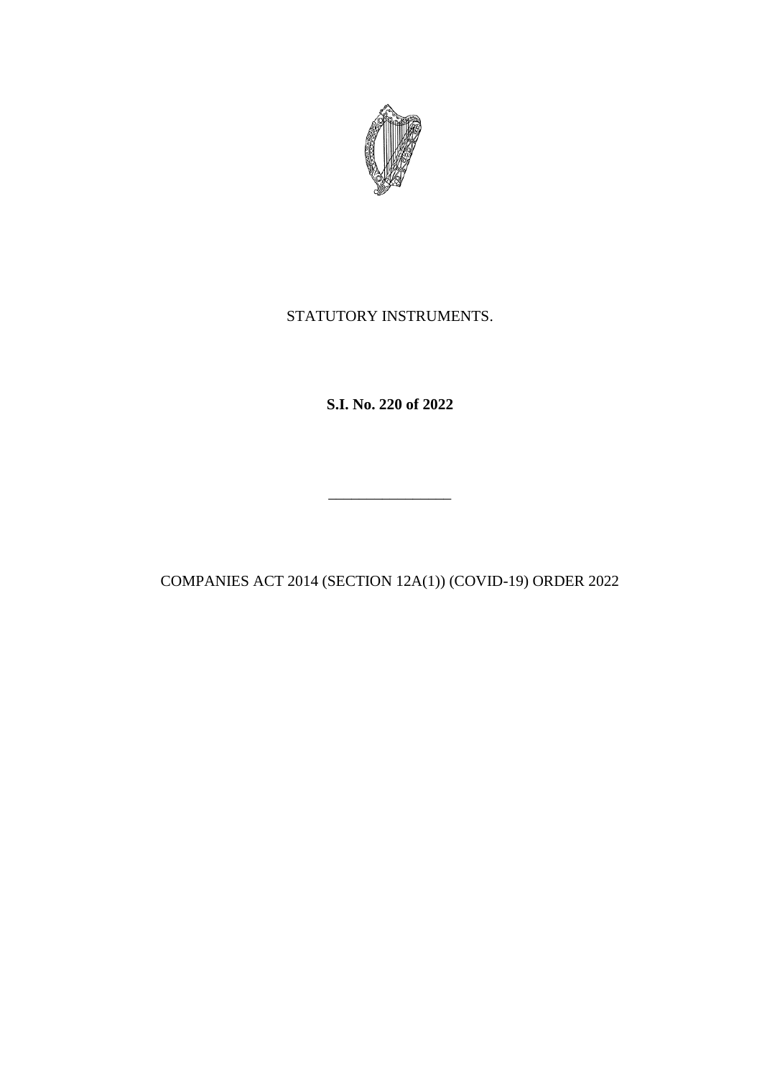

## STATUTORY INSTRUMENTS.

**S.I. No. 220 of 2022**

COMPANIES ACT 2014 (SECTION 12A(1)) (COVID-19) ORDER 2022

\_\_\_\_\_\_\_\_\_\_\_\_\_\_\_\_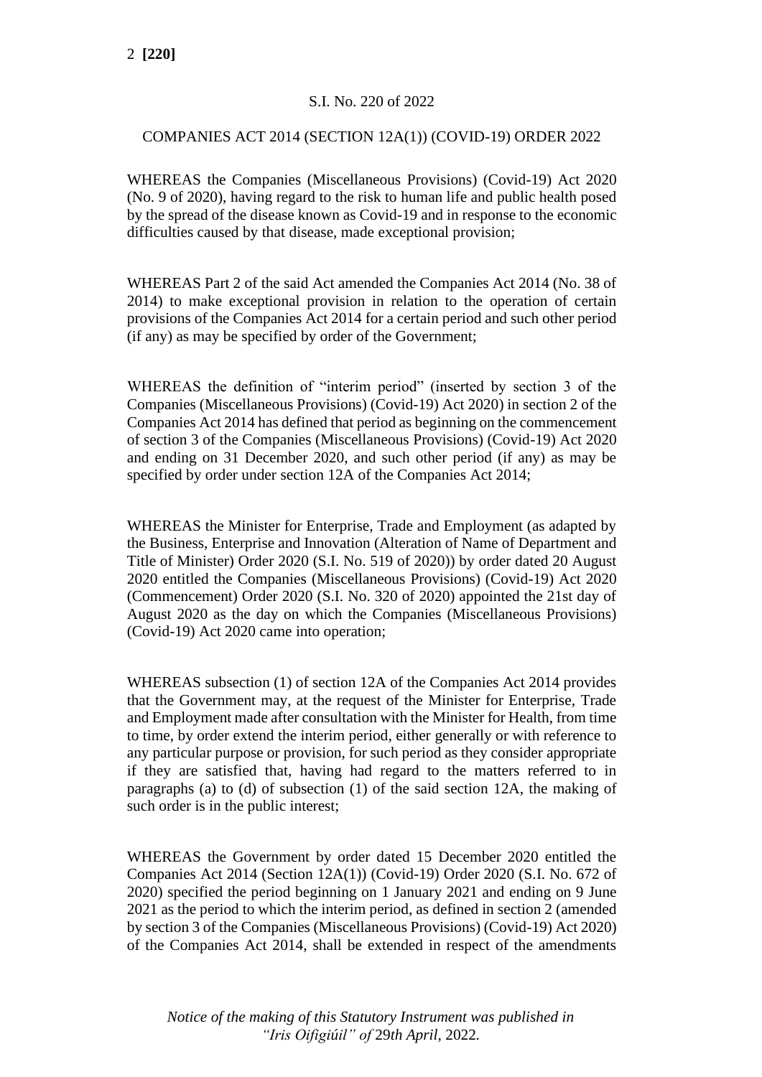## S.I. No. 220 of 2022

## COMPANIES ACT 2014 (SECTION 12A(1)) (COVID-19) ORDER 2022

WHEREAS the Companies (Miscellaneous Provisions) (Covid-19) Act 2020 (No. 9 of 2020), having regard to the risk to human life and public health posed by the spread of the disease known as Covid-19 and in response to the economic difficulties caused by that disease, made exceptional provision;

WHEREAS Part 2 of the said Act amended the Companies Act 2014 (No. 38 of 2014) to make exceptional provision in relation to the operation of certain provisions of the Companies Act 2014 for a certain period and such other period (if any) as may be specified by order of the Government;

WHEREAS the definition of "interim period" (inserted by section 3 of the Companies (Miscellaneous Provisions) (Covid-19) Act 2020) in section 2 of the Companies Act 2014 has defined that period as beginning on the commencement of section 3 of the Companies (Miscellaneous Provisions) (Covid-19) Act 2020 and ending on 31 December 2020, and such other period (if any) as may be specified by order under section 12A of the Companies Act 2014;

WHEREAS the Minister for Enterprise, Trade and Employment (as adapted by the Business, Enterprise and Innovation (Alteration of Name of Department and Title of Minister) Order 2020 (S.I. No. 519 of 2020)) by order dated 20 August 2020 entitled the Companies (Miscellaneous Provisions) (Covid-19) Act 2020 (Commencement) Order 2020 (S.I. No. 320 of 2020) appointed the 21st day of August 2020 as the day on which the Companies (Miscellaneous Provisions) (Covid-19) Act 2020 came into operation;

WHEREAS subsection (1) of section 12A of the Companies Act 2014 provides that the Government may, at the request of the Minister for Enterprise, Trade and Employment made after consultation with the Minister for Health, from time to time, by order extend the interim period, either generally or with reference to any particular purpose or provision, for such period as they consider appropriate if they are satisfied that, having had regard to the matters referred to in paragraphs (a) to (d) of subsection (1) of the said section 12A, the making of such order is in the public interest;

WHEREAS the Government by order dated 15 December 2020 entitled the Companies Act 2014 (Section 12A(1)) (Covid-19) Order 2020 (S.I. No. 672 of 2020) specified the period beginning on 1 January 2021 and ending on 9 June 2021 as the period to which the interim period, as defined in section 2 (amended by section 3 of the Companies (Miscellaneous Provisions) (Covid-19) Act 2020) of the Companies Act 2014, shall be extended in respect of the amendments

*Notice of the making of this Statutory Instrument was published in "Iris Oifigiúil" of* 29*th April,* 2022*.*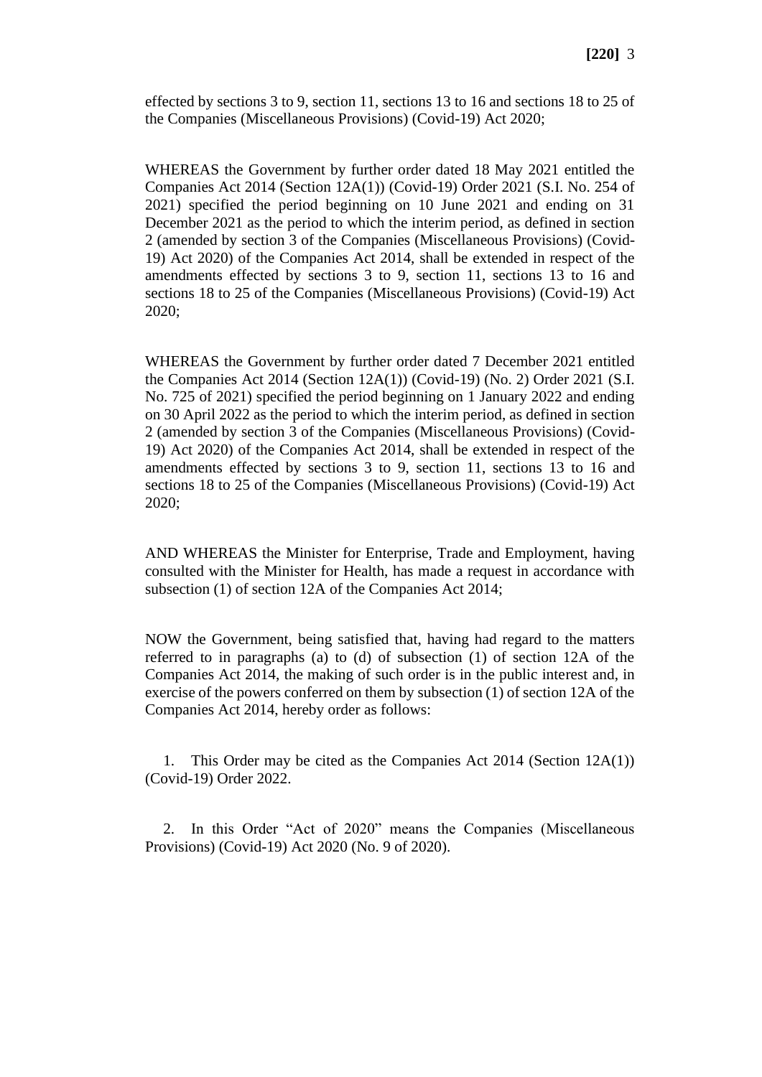effected by sections 3 to 9, section 11, sections 13 to 16 and sections 18 to 25 of the Companies (Miscellaneous Provisions) (Covid-19) Act 2020;

WHEREAS the Government by further order dated 18 May 2021 entitled the Companies Act 2014 (Section 12A(1)) (Covid-19) Order 2021 (S.I. No. 254 of 2021) specified the period beginning on 10 June 2021 and ending on 31 December 2021 as the period to which the interim period, as defined in section 2 (amended by section 3 of the Companies (Miscellaneous Provisions) (Covid-19) Act 2020) of the Companies Act 2014, shall be extended in respect of the amendments effected by sections 3 to 9, section 11, sections 13 to 16 and sections 18 to 25 of the Companies (Miscellaneous Provisions) (Covid-19) Act 2020;

WHEREAS the Government by further order dated 7 December 2021 entitled the Companies Act 2014 (Section 12A(1)) (Covid-19) (No. 2) Order 2021 (S.I. No. 725 of 2021) specified the period beginning on 1 January 2022 and ending on 30 April 2022 as the period to which the interim period, as defined in section 2 (amended by section 3 of the Companies (Miscellaneous Provisions) (Covid-19) Act 2020) of the Companies Act 2014, shall be extended in respect of the amendments effected by sections 3 to 9, section 11, sections 13 to 16 and sections 18 to 25 of the Companies (Miscellaneous Provisions) (Covid-19) Act 2020;

AND WHEREAS the Minister for Enterprise, Trade and Employment, having consulted with the Minister for Health, has made a request in accordance with subsection (1) of section 12A of the Companies Act 2014;

NOW the Government, being satisfied that, having had regard to the matters referred to in paragraphs (a) to (d) of subsection (1) of section 12A of the Companies Act 2014, the making of such order is in the public interest and, in exercise of the powers conferred on them by subsection (1) of section 12A of the Companies Act 2014, hereby order as follows:

1. This Order may be cited as the Companies Act 2014 (Section 12A(1)) (Covid-19) Order 2022.

2. In this Order "Act of 2020" means the Companies (Miscellaneous Provisions) (Covid-19) Act 2020 (No. 9 of 2020).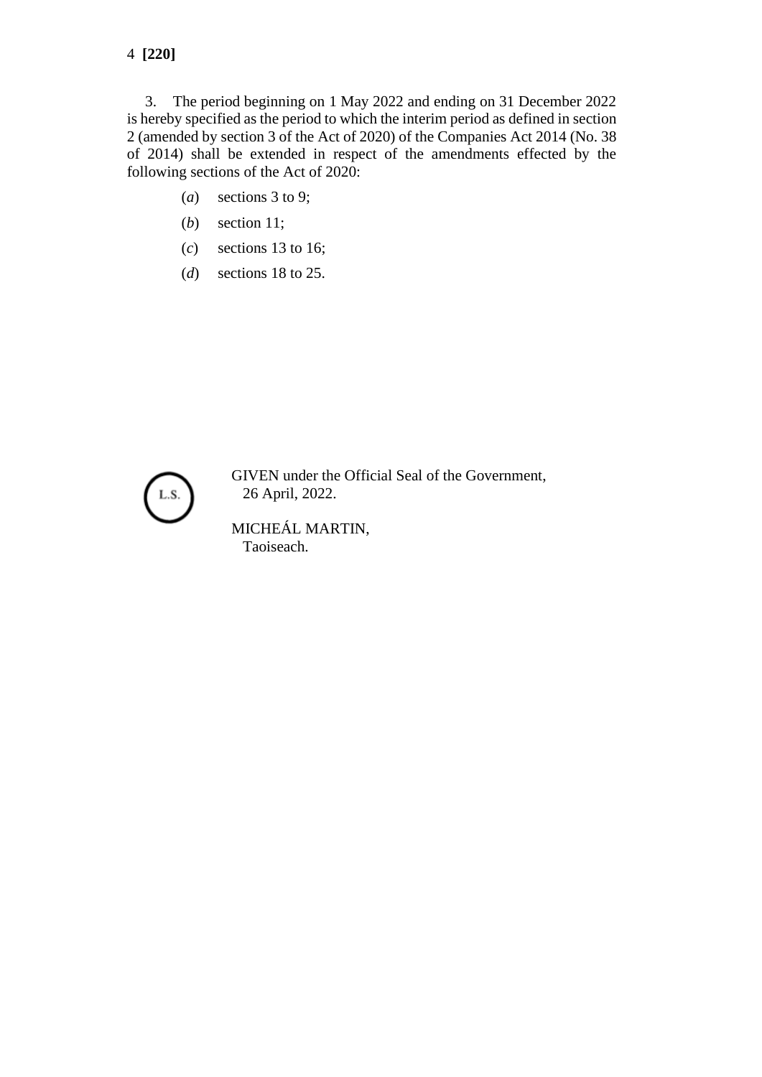3. The period beginning on 1 May 2022 and ending on 31 December 2022 is hereby specified as the period to which the interim period as defined in section 2 (amended by section 3 of the Act of 2020) of the Companies Act 2014 (No. 38 of 2014) shall be extended in respect of the amendments effected by the following sections of the Act of 2020:

- (*a*) sections 3 to 9;
- (*b*) section 11;
- (*c*) sections 13 to 16;
- (*d*) sections 18 to 25.



GIVEN under the Official Seal of the Government, 26 April, 2022.

MICHEÁL MARTIN, Taoiseach.